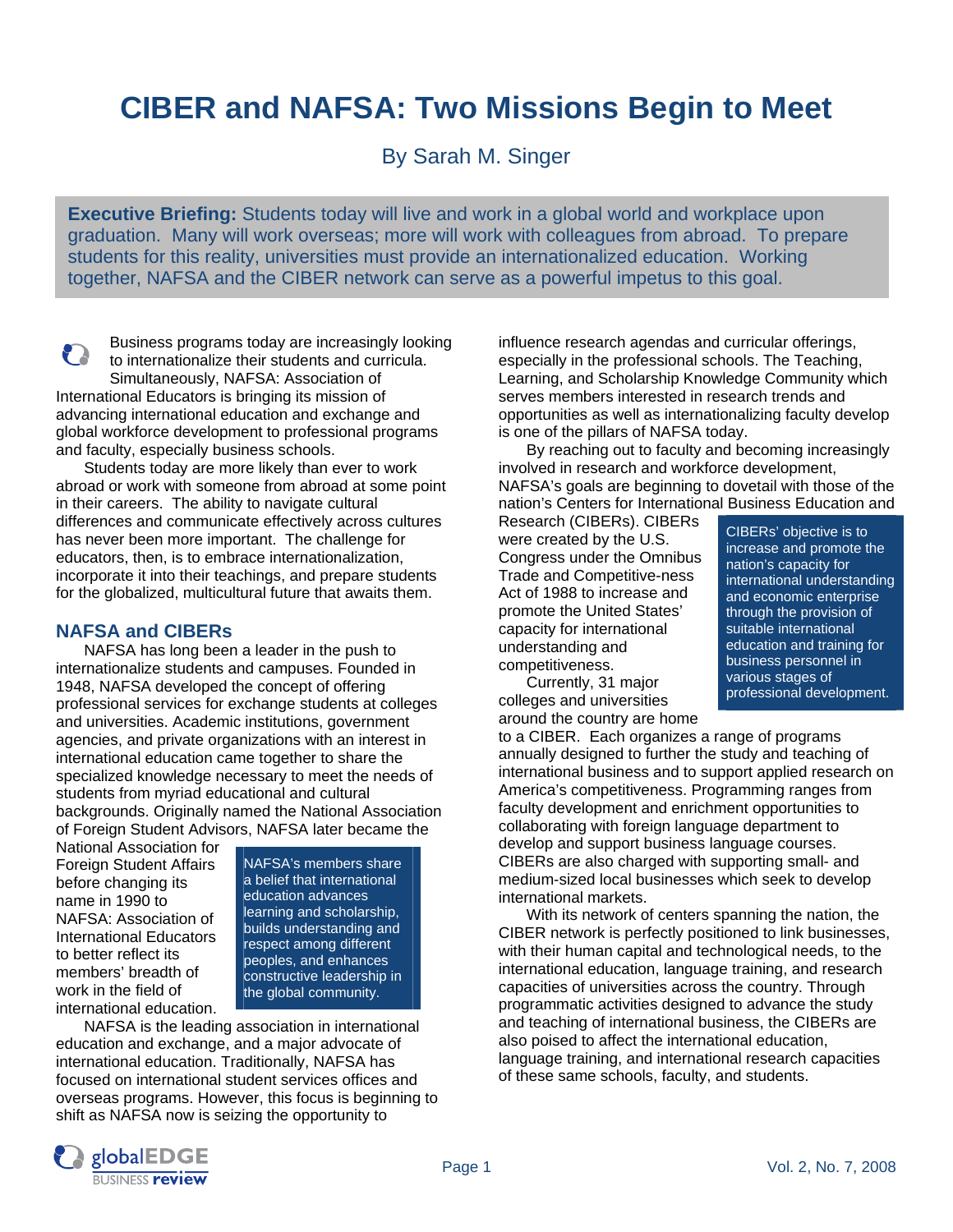# **CIBER and NAFSA: Two Missions Begin to Meet**

By Sarah M. Singer

**Executive Briefing:** Students today will live and work in a global world and workplace upon graduation. Many will work overseas; more will work with colleagues from abroad. To prepare students for this reality, universities must provide an internationalized education. Working together, NAFSA and the CIBER network can serve as a powerful impetus to this goal.

Business programs today are increasingly looking P to internationalize their students and curricula. Simultaneously, NAFSA: Association of International Educators is bringing its mission of advancing international education and exchange and global workforce development to professional programs

and faculty, especially business schools. Students today are more likely than ever to work abroad or work with someone from abroad at some point in their careers. The ability to navigate cultural differences and communicate effectively across cultures has never been more important. The challenge for educators, then, is to embrace internationalization, incorporate it into their teachings, and prepare students for the globalized, multicultural future that awaits them.

## **NAFSA and CIBERs**

NAFSA has long been a leader in the push to internationalize students and campuses. Founded in 1948, NAFSA developed the concept of offering professional services for exchange students at colleges and universities. Academic institutions, government agencies, and private organizations with an interest in international education came together to share the specialized knowledge necessary to meet the needs of students from myriad educational and cultural backgrounds. Originally named the National Association of Foreign Student Advisors, NAFSA later became the

National Association for Foreign Student Affairs before changing its name in 1990 to NAFSA: Association of International Educators to better reflect its members' breadth of work in the field of international education.

NAFSA's members share a belief that international education advances learning and scholarship, builds understanding and respect among different peoples, and enhances constructive leadership in the global community.

NAFSA is the leading association in international education and exchange, and a major advocate of international education. Traditionally, NAFSA has focused on international student services offices and overseas programs. However, this focus is beginning to shift as NAFSA now is seizing the opportunity to

influence research agendas and curricular offerings, especially in the professional schools. The Teaching, Learning, and Scholarship Knowledge Community which serves members interested in research trends and opportunities as well as internationalizing faculty develop is one of the pillars of NAFSA today.

By reaching out to faculty and becoming increasingly involved in research and workforce development, NAFSA's goals are beginning to dovetail with those of the nation's Centers for International Business Education and

Research (CIBERs). CIBERs were created by the U.S. Congress under the Omnibus Trade and Competitive-ness Act of 1988 to increase and promote the United States' capacity for international understanding and competitiveness.

 Currently, 31 major colleges and universities around the country are home

CIBERs' objective is to increase and promote the nation's capacity for international understanding and economic enterprise through the provision of suitable international education and training for business personnel in various stages of professional development.

to a CIBER. Each organizes a range of programs annually designed to further the study and teaching of international business and to support applied research on America's competitiveness. Programming ranges from faculty development and enrichment opportunities to collaborating with foreign language department to develop and support business language courses. CIBERs are also charged with supporting small- and medium-sized local businesses which seek to develop international markets.

 With its network of centers spanning the nation, the CIBER network is perfectly positioned to link businesses, with their human capital and technological needs, to the international education, language training, and research capacities of universities across the country. Through programmatic activities designed to advance the study and teaching of international business, the CIBERs are also poised to affect the international education, language training, and international research capacities of these same schools, faculty, and students.